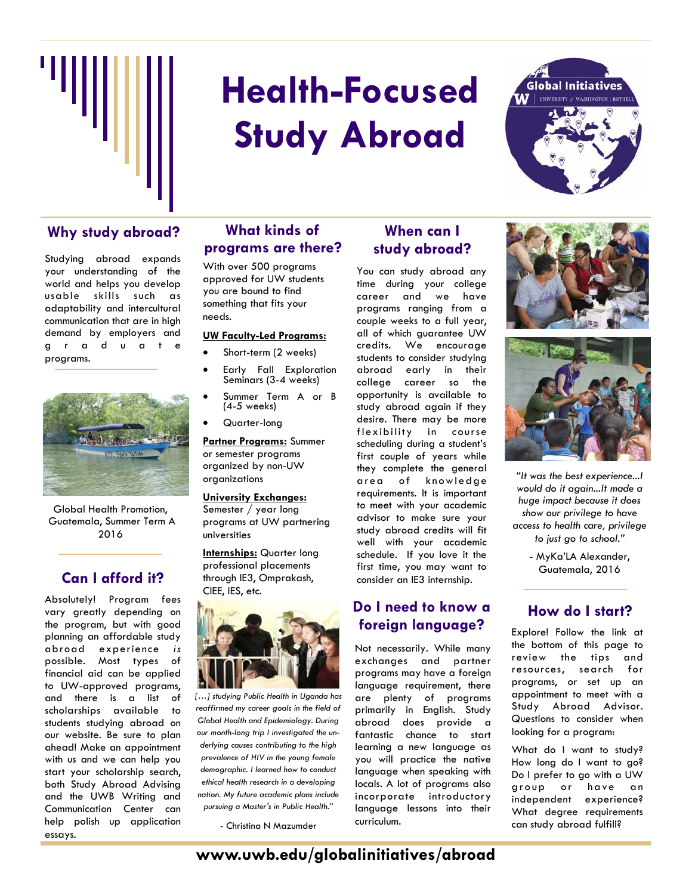

# **Health-Focused Study Abroad**



Studying abroad expands your understanding of the world and helps you develop usable skills such as adaptability and intercultural communication that are in high demand by employers and g r a d u a t e programs.



Global Health Promotion, Guatemala, Summer Term A 2016

## **Can I afford it?**

Absolutely! Program fees vary greatly depending on the program, but with good planning an affordable study abroad experience *is* possible. Most types of financial aid can be applied to UW-approved programs, and there is a list of scholarships available to students studying abroad on our website. Be sure to plan ahead! Make an appointment with us and we can help you start your scholarship search, both Study Abroad Advising and the UWB Writing and Communication Center can help polish up application essays.

#### **What kinds of programs are there? Why study abroad? When can I**

With over 500 programs approved for UW students you are bound to find something that fits your needs.

#### **UW Faculty-Led Programs:**

- Short-term (2 weeks)
	- Early Fall Exploration Seminars (3-4 weeks)
- Summer Term A or B (4-5 weeks)
- Quarter-long

universities

**Partner Programs:** Summer or semester programs organized by non-UW organizations

**University Exchanges:**  Semester / year long programs at UW partnering

**Internships:** Quarter long professional placements through IE3, Omprakash, CIEE, IES, etc.



*[…] studying Public Health in Uganda has reaffirmed my career goals in the field of Global Health and Epidemiology. During our month-long trip I investigated the underlying causes contributing to the high prevalence of HIV in the young female demographic. I learned how to conduct ethical health research in a developing nation. My future academic plans include pursuing a Master's in Public Health."* 

- Christina N Mazumder

## **study abroad?**

You can study abroad any time during your college career and we have programs ranging from a couple weeks to a full year, all of which guarantee UW credits. We encourage students to consider studying abroad early in their college career so the opportunity is available to study abroad again if they desire. There may be more flexibility in course scheduling during a student's first couple of years while they complete the general area of knowledge requirements. It is important to meet with your academic advisor to make sure your study abroad credits will fit well with your academic schedule. If you love it the first time, you may want to consider an IE3 internship.

### **Do I need to know a foreign language?**

Not necessarily. While many exchanges and partner programs may have a foreign language requirement, there are plenty of programs primarily in English. Study abroad does provide a fantastic chance to start learning a new language as you will practice the native language when speaking with locals. A lot of programs also incorporate introductory language lessons into their curriculum.





*"It was the best experience...I would do it again...It made a huge impact because it does show our privilege to have access to health care, privilege to just go to school."*

> - MyKa'LA Alexander, Guatemala, 2016

### **How do I start?**

Explore! Follow the link at the bottom of this page to review the tips and resources, search for programs, or set up an appointment to meet with a Study Abroad Advisor. Questions to consider when looking for a program:

What do I want to study? How long do I want to go? Do I prefer to go with a UW group or have an independent experience? What degree requirements can study abroad fulfill?